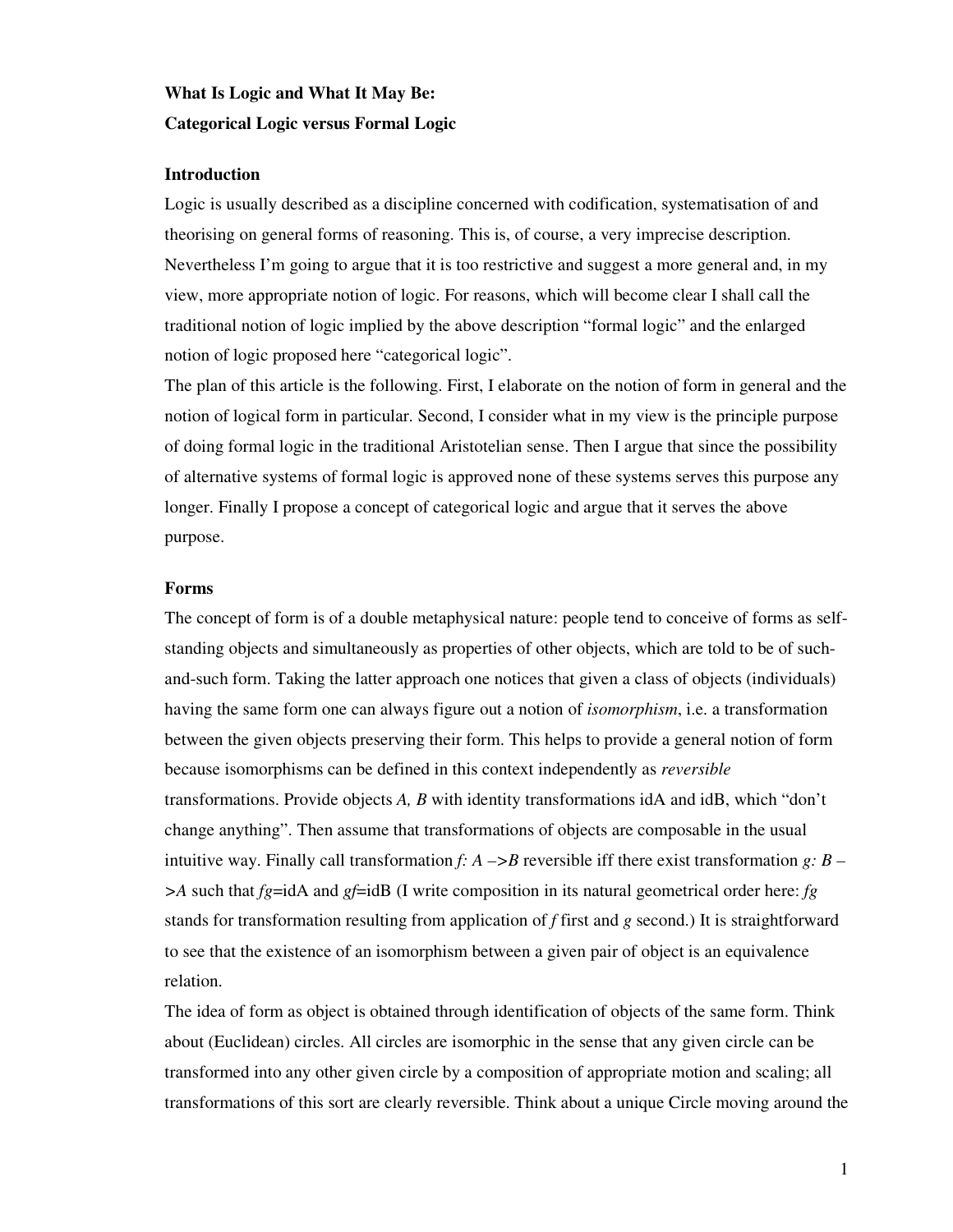# **What Is Logic and What It May Be: Categorical Logic versus Formal Logic**

# **Introduction**

Logic is usually described as a discipline concerned with codification, systematisation of and theorising on general forms of reasoning. This is, of course, a very imprecise description. Nevertheless I'm going to argue that it is too restrictive and suggest a more general and, in my view, more appropriate notion of logic. For reasons, which will become clear I shall call the traditional notion of logic implied by the above description "formal logic" and the enlarged notion of logic proposed here "categorical logic".

The plan of this article is the following. First, I elaborate on the notion of form in general and the notion of logical form in particular. Second, I consider what in my view is the principle purpose of doing formal logic in the traditional Aristotelian sense. Then I argue that since the possibility of alternative systems of formal logic is approved none of these systems serves this purpose any longer. Finally I propose a concept of categorical logic and argue that it serves the above purpose.

## **Forms**

The concept of form is of a double metaphysical nature: people tend to conceive of forms as selfstanding objects and simultaneously as properties of other objects, which are told to be of suchand-such form. Taking the latter approach one notices that given a class of objects (individuals) having the same form one can always figure out a notion of *isomorphism*, i.e. a transformation between the given objects preserving their form. This helps to provide a general notion of form because isomorphisms can be defined in this context independently as *reversible* transformations. Provide objects *A, B* with identity transformations idA and idB, which "don't change anything". Then assume that transformations of objects are composable in the usual intuitive way. Finally call transformation *f: A –>B* reversible iff there exist transformation *g: B – >A* such that *fg*=idA and *gf*=idB (I write composition in its natural geometrical order here: *fg* stands for transformation resulting from application of *f* first and *g* second.) It is straightforward to see that the existence of an isomorphism between a given pair of object is an equivalence relation.

The idea of form as object is obtained through identification of objects of the same form. Think about (Euclidean) circles. All circles are isomorphic in the sense that any given circle can be transformed into any other given circle by a composition of appropriate motion and scaling; all transformations of this sort are clearly reversible. Think about a unique Circle moving around the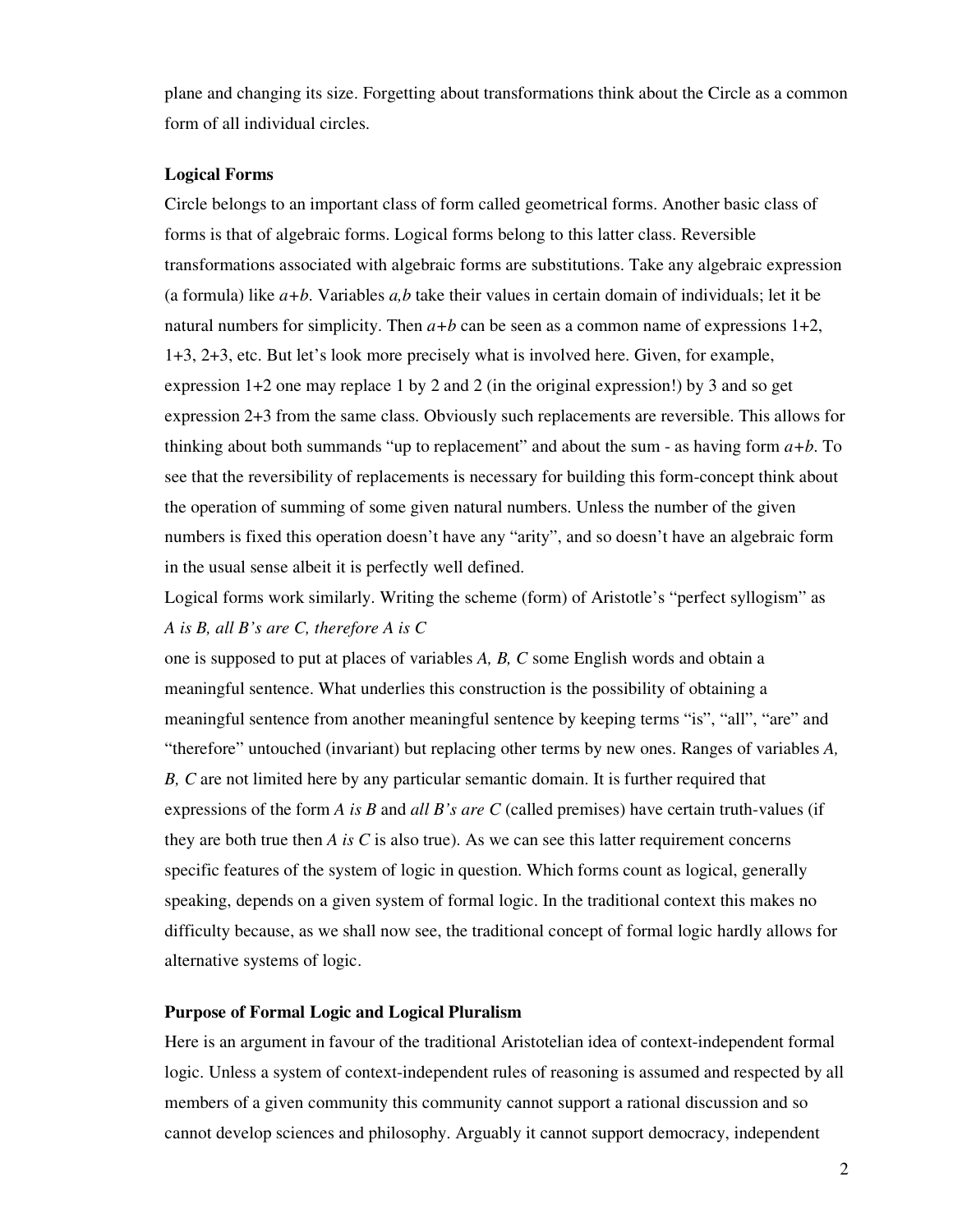plane and changing its size. Forgetting about transformations think about the Circle as a common form of all individual circles.

#### **Logical Forms**

Circle belongs to an important class of form called geometrical forms. Another basic class of forms is that of algebraic forms. Logical forms belong to this latter class. Reversible transformations associated with algebraic forms are substitutions. Take any algebraic expression (a formula) like *a+b*. Variables *a,b* take their values in certain domain of individuals; let it be natural numbers for simplicity. Then  $a+b$  can be seen as a common name of expressions  $1+2$ , 1+3, 2+3, etc. But let's look more precisely what is involved here. Given, for example, expression  $1+2$  one may replace 1 by 2 and 2 (in the original expression!) by 3 and so get expression 2+3 from the same class. Obviously such replacements are reversible. This allows for thinking about both summands "up to replacement" and about the sum - as having form  $a+b$ . To see that the reversibility of replacements is necessary for building this form-concept think about the operation of summing of some given natural numbers. Unless the number of the given numbers is fixed this operation doesn't have any "arity", and so doesn't have an algebraic form in the usual sense albeit it is perfectly well defined.

Logical forms work similarly. Writing the scheme (form) of Aristotle's "perfect syllogism" as *A is B, all B's are C, therefore A is C*

one is supposed to put at places of variables *A, B, C* some English words and obtain a meaningful sentence. What underlies this construction is the possibility of obtaining a meaningful sentence from another meaningful sentence by keeping terms "is", "all", "are" and "therefore" untouched (invariant) but replacing other terms by new ones. Ranges of variables *A, B, C* are not limited here by any particular semantic domain. It is further required that expressions of the form *A is B* and *all B's are C* (called premises) have certain truth-values (if they are both true then *A is C* is also true). As we can see this latter requirement concerns specific features of the system of logic in question. Which forms count as logical, generally speaking, depends on a given system of formal logic. In the traditional context this makes no difficulty because, as we shall now see, the traditional concept of formal logic hardly allows for alternative systems of logic.

## **Purpose of Formal Logic and Logical Pluralism**

Here is an argument in favour of the traditional Aristotelian idea of context-independent formal logic. Unless a system of context-independent rules of reasoning is assumed and respected by all members of a given community this community cannot support a rational discussion and so cannot develop sciences and philosophy. Arguably it cannot support democracy, independent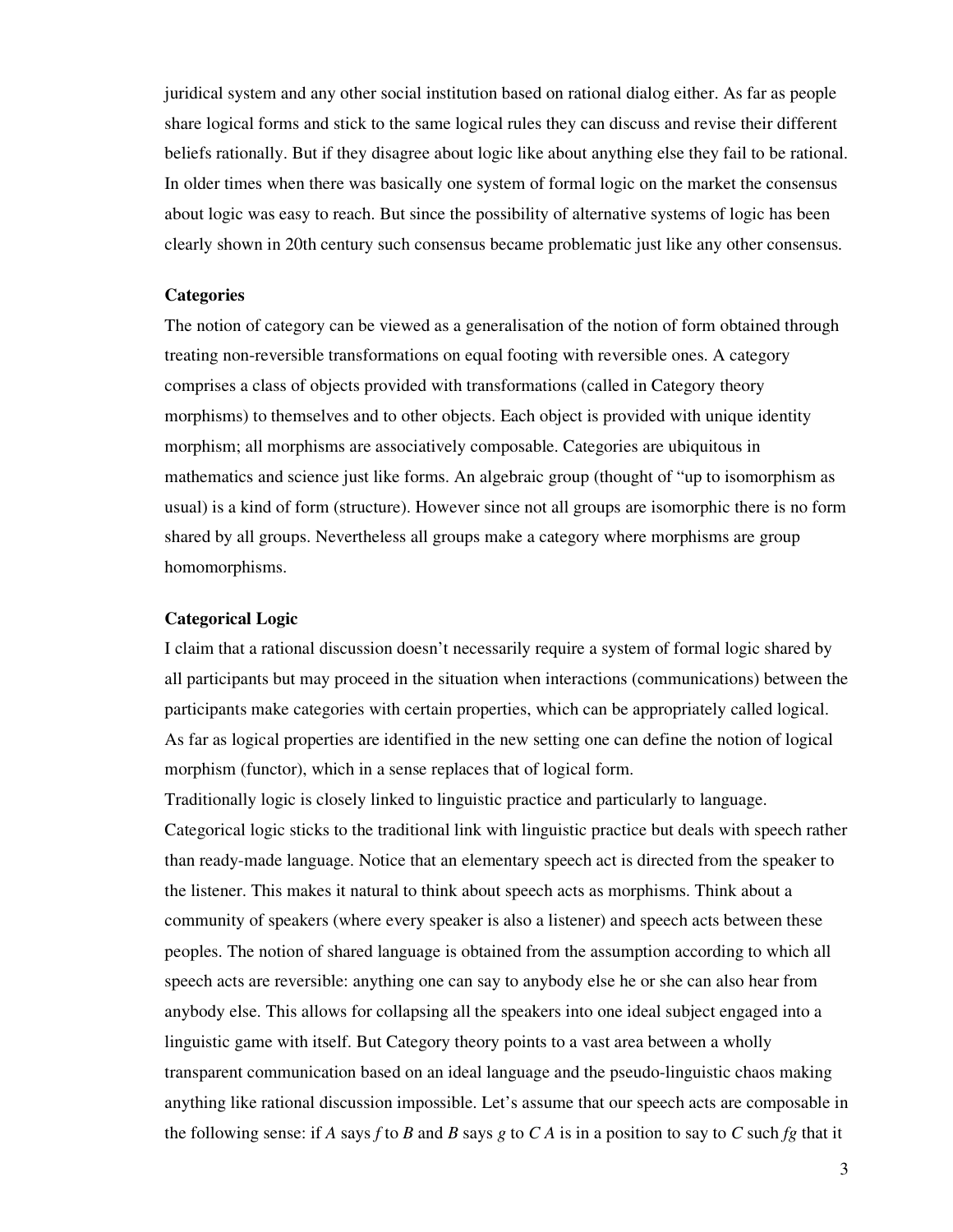juridical system and any other social institution based on rational dialog either. As far as people share logical forms and stick to the same logical rules they can discuss and revise their different beliefs rationally. But if they disagree about logic like about anything else they fail to be rational. In older times when there was basically one system of formal logic on the market the consensus about logic was easy to reach. But since the possibility of alternative systems of logic has been clearly shown in 20th century such consensus became problematic just like any other consensus.

#### **Categories**

The notion of category can be viewed as a generalisation of the notion of form obtained through treating non-reversible transformations on equal footing with reversible ones. A category comprises a class of objects provided with transformations (called in Category theory morphisms) to themselves and to other objects. Each object is provided with unique identity morphism; all morphisms are associatively composable. Categories are ubiquitous in mathematics and science just like forms. An algebraic group (thought of "up to isomorphism as usual) is a kind of form (structure). However since not all groups are isomorphic there is no form shared by all groups. Nevertheless all groups make a category where morphisms are group homomorphisms.

#### **Categorical Logic**

I claim that a rational discussion doesn't necessarily require a system of formal logic shared by all participants but may proceed in the situation when interactions (communications) between the participants make categories with certain properties, which can be appropriately called logical. As far as logical properties are identified in the new setting one can define the notion of logical morphism (functor), which in a sense replaces that of logical form.

Traditionally logic is closely linked to linguistic practice and particularly to language. Categorical logic sticks to the traditional link with linguistic practice but deals with speech rather than ready-made language. Notice that an elementary speech act is directed from the speaker to the listener. This makes it natural to think about speech acts as morphisms. Think about a community of speakers (where every speaker is also a listener) and speech acts between these peoples. The notion of shared language is obtained from the assumption according to which all speech acts are reversible: anything one can say to anybody else he or she can also hear from anybody else. This allows for collapsing all the speakers into one ideal subject engaged into a linguistic game with itself. But Category theory points to a vast area between a wholly transparent communication based on an ideal language and the pseudo-linguistic chaos making anything like rational discussion impossible. Let's assume that our speech acts are composable in the following sense: if *A* says *f* to *B* and *B* says *g* to *C A* is in a position to say to *C* such *fg* that it